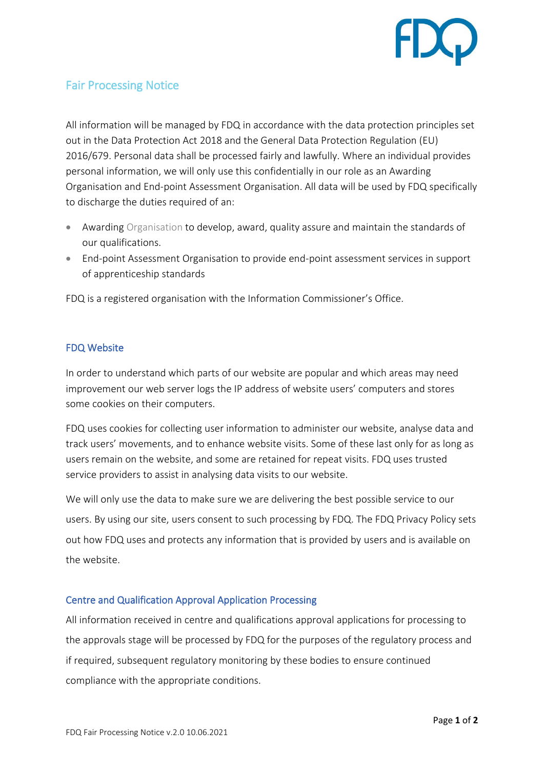

## Fair Processing Notice

All information will be managed by FDQ in accordance with the data protection principles set out in the Data Protection Act 2018 and the General Data Protection Regulation (EU) 2016/679. Personal data shall be processed fairly and lawfully. Where an individual provides personal information, we will only use this confidentially in our role as an Awarding Organisation and End-point Assessment Organisation. All data will be used by FDQ specifically to discharge the duties required of an:

- Awarding Organisation to develop, award, quality assure and maintain the standards of our qualifications.
- End-point Assessment Organisation to provide end-point assessment services in support of apprenticeship standards

FDQ is a registered organisation with the Information Commissioner's Office.

## FDQ Website

In order to understand which parts of our website are popular and which areas may need improvement our web server logs the IP address of website users' computers and stores some cookies on their computers.

FDQ uses cookies for collecting user information to administer our website, analyse data and track users' movements, and to enhance website visits. Some of these last only for as long as users remain on the website, and some are retained for repeat visits. FDQ uses trusted service providers to assist in analysing data visits to our website.

We will only use the data to make sure we are delivering the best possible service to our users. By using our site, users consent to such processing by FDQ. The FDQ Privacy Policy sets out how FDQ uses and protects any information that is provided by users and is available on the website.

## Centre and Qualification Approval Application Processing

All information received in centre and qualifications approval applications for processing to the approvals stage will be processed by FDQ for the purposes of the regulatory process and if required, subsequent regulatory monitoring by these bodies to ensure continued compliance with the appropriate conditions.